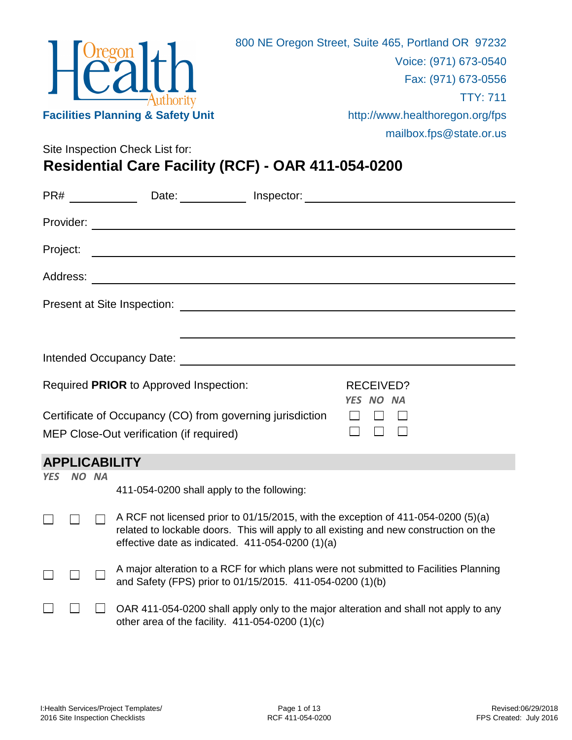

Site Inspection Check List for:

## **Residential Care Facility (RCF) - OAR 411-054-0200**

|            |       | PR# ______________Date: _____________Inspector: ________________________________                                                                                                                                                |                               |
|------------|-------|---------------------------------------------------------------------------------------------------------------------------------------------------------------------------------------------------------------------------------|-------------------------------|
|            |       |                                                                                                                                                                                                                                 |                               |
| Project:   |       |                                                                                                                                                                                                                                 |                               |
|            |       |                                                                                                                                                                                                                                 |                               |
|            |       |                                                                                                                                                                                                                                 |                               |
|            |       |                                                                                                                                                                                                                                 |                               |
|            |       |                                                                                                                                                                                                                                 |                               |
|            |       | Required PRIOR to Approved Inspection:                                                                                                                                                                                          | <b>RECEIVED?</b><br>YES NO NA |
|            |       | Certificate of Occupancy (CO) from governing jurisdiction                                                                                                                                                                       |                               |
|            |       | MEP Close-Out verification (if required)                                                                                                                                                                                        |                               |
|            |       | <b>APPLICABILITY</b>                                                                                                                                                                                                            |                               |
| <b>YES</b> | NO NA | 411-054-0200 shall apply to the following:                                                                                                                                                                                      |                               |
|            |       | A RCF not licensed prior to 01/15/2015, with the exception of 411-054-0200 (5)(a)<br>related to lockable doors. This will apply to all existing and new construction on the<br>effective date as indicated. 411-054-0200 (1)(a) |                               |
|            |       | A major alteration to a RCF for which plans were not submitted to Facilities Planning<br>and Safety (FPS) prior to 01/15/2015. 411-054-0200 (1)(b)                                                                              |                               |
|            |       | OAR 411-054-0200 shall apply only to the major alteration and shall not apply to any<br>other area of the facility. $411-054-0200(1)(c)$                                                                                        |                               |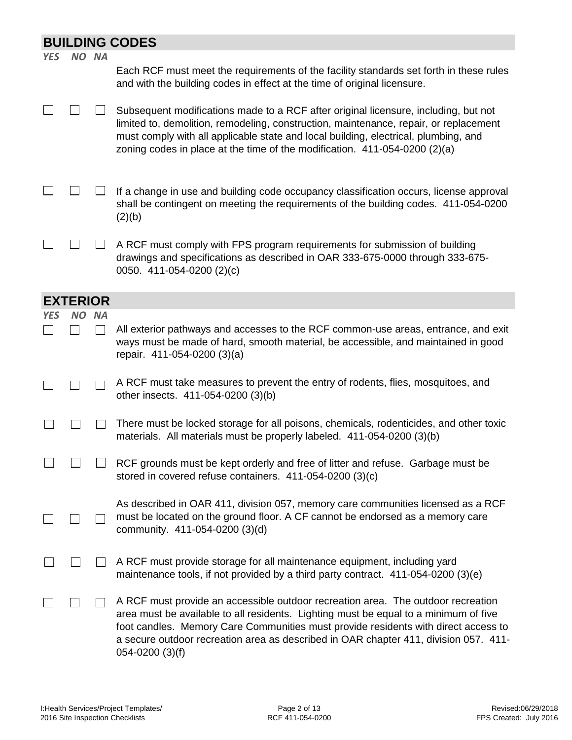|            | <b>BUILDING CODES</b> |           |                                                                                                                                                                                                                                                                                                                                                                               |  |
|------------|-----------------------|-----------|-------------------------------------------------------------------------------------------------------------------------------------------------------------------------------------------------------------------------------------------------------------------------------------------------------------------------------------------------------------------------------|--|
| <b>YES</b> | NO NA                 |           | Each RCF must meet the requirements of the facility standards set forth in these rules<br>and with the building codes in effect at the time of original licensure.                                                                                                                                                                                                            |  |
|            |                       |           | Subsequent modifications made to a RCF after original licensure, including, but not<br>limited to, demolition, remodeling, construction, maintenance, repair, or replacement<br>must comply with all applicable state and local building, electrical, plumbing, and<br>zoning codes in place at the time of the modification. 411-054-0200 (2)(a)                             |  |
|            |                       |           | If a change in use and building code occupancy classification occurs, license approval<br>shall be contingent on meeting the requirements of the building codes. 411-054-0200<br>(2)(b)                                                                                                                                                                                       |  |
|            |                       |           | A RCF must comply with FPS program requirements for submission of building<br>drawings and specifications as described in OAR 333-675-0000 through 333-675-<br>0050. 411-054-0200 (2)(c)                                                                                                                                                                                      |  |
|            | <b>EXTERIOR</b>       |           |                                                                                                                                                                                                                                                                                                                                                                               |  |
| <b>YES</b> | NO.                   | <b>NA</b> |                                                                                                                                                                                                                                                                                                                                                                               |  |
|            |                       |           | All exterior pathways and accesses to the RCF common-use areas, entrance, and exit<br>ways must be made of hard, smooth material, be accessible, and maintained in good<br>repair. 411-054-0200 (3)(a)                                                                                                                                                                        |  |
|            |                       |           | A RCF must take measures to prevent the entry of rodents, flies, mosquitoes, and<br>other insects. 411-054-0200 (3)(b)                                                                                                                                                                                                                                                        |  |
|            |                       |           | There must be locked storage for all poisons, chemicals, rodenticides, and other toxic<br>materials. All materials must be properly labeled. 411-054-0200 (3)(b)                                                                                                                                                                                                              |  |
|            |                       |           | RCF grounds must be kept orderly and free of litter and refuse. Garbage must be<br>stored in covered refuse containers. 411-054-0200 (3)(c)                                                                                                                                                                                                                                   |  |
|            |                       |           | As described in OAR 411, division 057, memory care communities licensed as a RCF<br>must be located on the ground floor. A CF cannot be endorsed as a memory care<br>community. 411-054-0200 (3)(d)                                                                                                                                                                           |  |
|            |                       |           | A RCF must provide storage for all maintenance equipment, including yard<br>maintenance tools, if not provided by a third party contract. 411-054-0200 (3)(e)                                                                                                                                                                                                                 |  |
|            |                       |           | A RCF must provide an accessible outdoor recreation area. The outdoor recreation<br>area must be available to all residents. Lighting must be equal to a minimum of five<br>foot candles. Memory Care Communities must provide residents with direct access to<br>a secure outdoor recreation area as described in OAR chapter 411, division 057. 411-<br>$054 - 0200$ (3)(f) |  |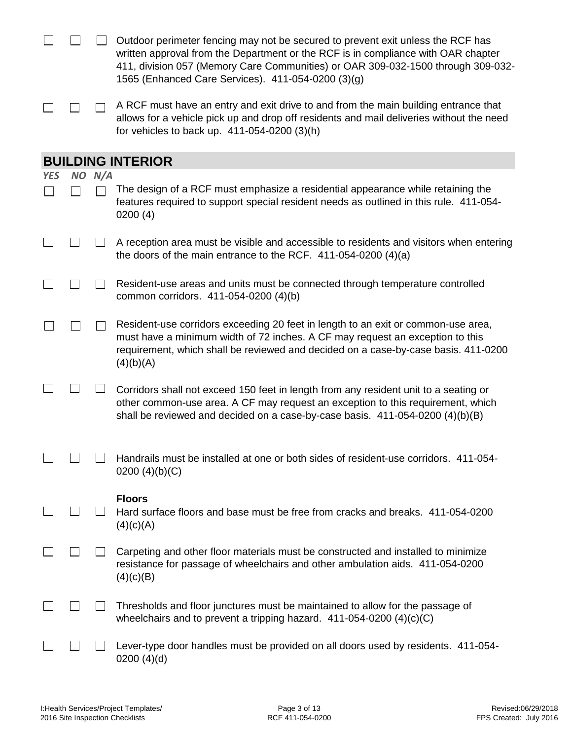|            |        | Outdoor perimeter fencing may not be secured to prevent exit unless the RCF has<br>written approval from the Department or the RCF is in compliance with OAR chapter<br>411, division 057 (Memory Care Communities) or OAR 309-032-1500 through 309-032-<br>1565 (Enhanced Care Services). 411-054-0200 (3)(g) |
|------------|--------|----------------------------------------------------------------------------------------------------------------------------------------------------------------------------------------------------------------------------------------------------------------------------------------------------------------|
|            |        | A RCF must have an entry and exit drive to and from the main building entrance that<br>allows for a vehicle pick up and drop off residents and mail deliveries without the need<br>for vehicles to back up. 411-054-0200 (3)(h)                                                                                |
|            |        | <b>BUILDING INTERIOR</b>                                                                                                                                                                                                                                                                                       |
| <b>YES</b> | NO N/A |                                                                                                                                                                                                                                                                                                                |
|            |        | The design of a RCF must emphasize a residential appearance while retaining the<br>features required to support special resident needs as outlined in this rule. 411-054-<br>0200(4)                                                                                                                           |
|            |        | A reception area must be visible and accessible to residents and visitors when entering<br>the doors of the main entrance to the RCF. $411-054-0200$ (4)(a)                                                                                                                                                    |
|            |        | Resident-use areas and units must be connected through temperature controlled<br>common corridors. 411-054-0200 (4)(b)                                                                                                                                                                                         |
|            |        | Resident-use corridors exceeding 20 feet in length to an exit or common-use area,<br>must have a minimum width of 72 inches. A CF may request an exception to this<br>requirement, which shall be reviewed and decided on a case-by-case basis. 411-0200<br>(4)(b)(A)                                          |
|            |        | Corridors shall not exceed 150 feet in length from any resident unit to a seating or<br>other common-use area. A CF may request an exception to this requirement, which<br>shall be reviewed and decided on a case-by-case basis. 411-054-0200 (4)(b)(B)                                                       |
|            |        | Handrails must be installed at one or both sides of resident-use corridors. 411-054-<br>0200 $(4)(b)(C)$                                                                                                                                                                                                       |
|            |        | <b>Floors</b><br>Hard surface floors and base must be free from cracks and breaks. 411-054-0200<br>(4)(c)(A)                                                                                                                                                                                                   |
|            |        | Carpeting and other floor materials must be constructed and installed to minimize<br>resistance for passage of wheelchairs and other ambulation aids. 411-054-0200<br>(4)(c)(B)                                                                                                                                |
|            |        | Thresholds and floor junctures must be maintained to allow for the passage of<br>wheelchairs and to prevent a tripping hazard. $411-054-0200$ (4)(c)(C)                                                                                                                                                        |
|            |        | Lever-type door handles must be provided on all doors used by residents. 411-054-<br>0200(4)(d)                                                                                                                                                                                                                |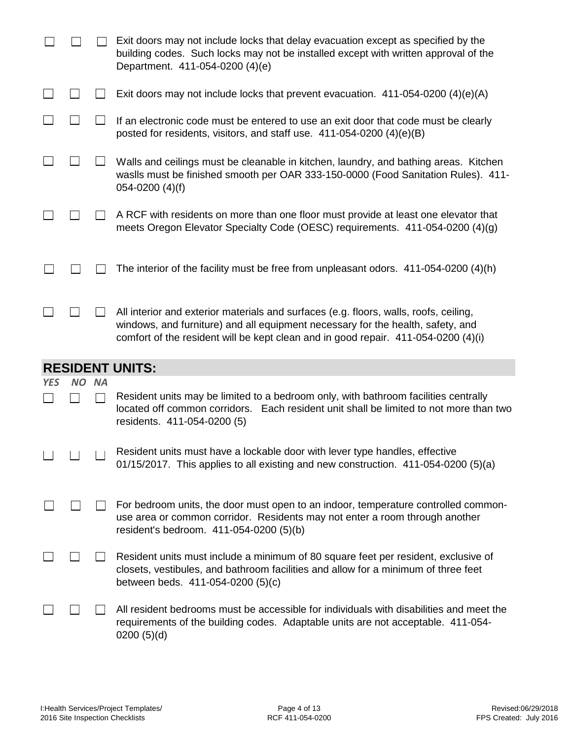|            |                                 |           | Exit doors may not include locks that delay evacuation except as specified by the<br>building codes. Such locks may not be installed except with written approval of the<br>Department. 411-054-0200 (4)(e)   |
|------------|---------------------------------|-----------|---------------------------------------------------------------------------------------------------------------------------------------------------------------------------------------------------------------|
|            |                                 |           | Exit doors may not include locks that prevent evacuation. $411-054-0200$ (4)(e)(A)                                                                                                                            |
|            |                                 |           | If an electronic code must be entered to use an exit door that code must be clearly<br>posted for residents, visitors, and staff use. $411-054-0200$ (4)(e)(B)                                                |
|            |                                 |           | Walls and ceilings must be cleanable in kitchen, laundry, and bathing areas. Kitchen<br>waslls must be finished smooth per OAR 333-150-0000 (Food Sanitation Rules). 411-<br>$054 - 0200$ (4)(f)              |
|            |                                 |           | A RCF with residents on more than one floor must provide at least one elevator that<br>meets Oregon Elevator Specialty Code (OESC) requirements. 411-054-0200 (4)(g)                                          |
|            |                                 |           | The interior of the facility must be free from unpleasant odors. 411-054-0200 (4)(h)                                                                                                                          |
|            |                                 |           | All interior and exterior materials and surfaces (e.g. floors, walls, roofs, ceiling,<br>windows, and furniture) and all equipment necessary for the health, safety, and                                      |
|            |                                 |           | comfort of the resident will be kept clean and in good repair. 411-054-0200 (4)(i)                                                                                                                            |
|            |                                 |           | <b>RESIDENT UNITS:</b>                                                                                                                                                                                        |
| <b>YES</b> | NO.                             | <b>NA</b> |                                                                                                                                                                                                               |
|            |                                 |           | Resident units may be limited to a bedroom only, with bathroom facilities centrally<br>located off common corridors. Each resident unit shall be limited to not more than two<br>residents. 411-054-0200 (5)  |
|            | <u>andar a shekara ta 1989 </u> | $\Box$    | Resident units must have a lockable door with lever type handles, effective<br>01/15/2017. This applies to all existing and new construction. 411-054-0200 (5)(a)                                             |
|            |                                 |           | For bedroom units, the door must open to an indoor, temperature controlled common-<br>use area or common corridor. Residents may not enter a room through another<br>resident's bedroom. 411-054-0200 (5)(b)  |
|            |                                 |           | Resident units must include a minimum of 80 square feet per resident, exclusive of<br>closets, vestibules, and bathroom facilities and allow for a minimum of three feet<br>between beds. 411-054-0200 (5)(c) |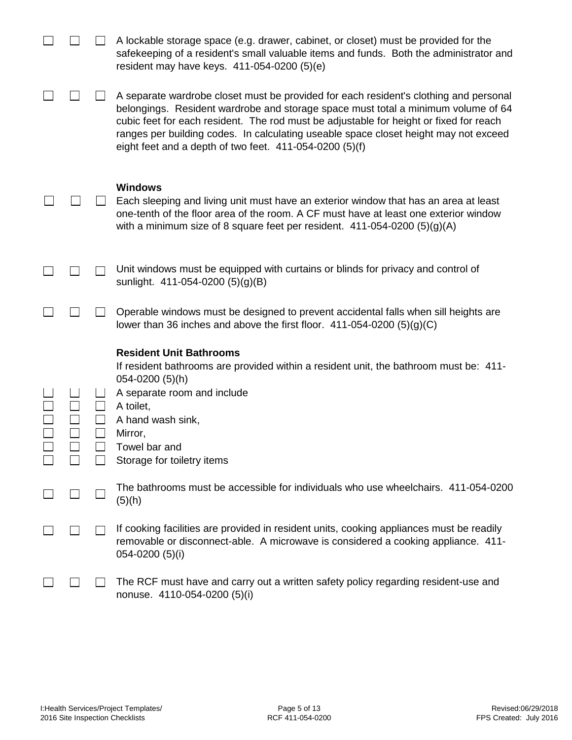|  | A lockable storage space (e.g. drawer, cabinet, or closet) must be provided for the<br>safekeeping of a resident's small valuable items and funds. Both the administrator and<br>resident may have keys. $411-054-0200$ (5)(e)                                                                                                                                                                                            |
|--|---------------------------------------------------------------------------------------------------------------------------------------------------------------------------------------------------------------------------------------------------------------------------------------------------------------------------------------------------------------------------------------------------------------------------|
|  | A separate wardrobe closet must be provided for each resident's clothing and personal<br>belongings. Resident wardrobe and storage space must total a minimum volume of 64<br>cubic feet for each resident. The rod must be adjustable for height or fixed for reach<br>ranges per building codes. In calculating useable space closet height may not exceed<br>eight feet and a depth of two feet. $411-054-0200$ (5)(f) |
|  | <b>Windows</b><br>Each sleeping and living unit must have an exterior window that has an area at least<br>one-tenth of the floor area of the room. A CF must have at least one exterior window<br>with a minimum size of 8 square feet per resident. $411-054-0200$ (5)(g)(A)                                                                                                                                             |
|  | Unit windows must be equipped with curtains or blinds for privacy and control of<br>sunlight. 411-054-0200 (5)(g)(B)                                                                                                                                                                                                                                                                                                      |
|  | Operable windows must be designed to prevent accidental falls when sill heights are<br>lower than 36 inches and above the first floor. $411-054-0200$ (5)(g)(C)                                                                                                                                                                                                                                                           |
|  | <b>Resident Unit Bathrooms</b><br>If resident bathrooms are provided within a resident unit, the bathroom must be: 411-<br>$054 - 0200$ (5)(h)<br>A separate room and include<br>A toilet,<br>A hand wash sink,<br>Mirror,<br>Towel bar and<br>Storage for toiletry items                                                                                                                                                 |
|  | The bathrooms must be accessible for individuals who use wheelchairs. 411-054-0200<br>(5)(h)                                                                                                                                                                                                                                                                                                                              |
|  | If cooking facilities are provided in resident units, cooking appliances must be readily<br>removable or disconnect-able. A microwave is considered a cooking appliance. 411-<br>054-0200 (5)(i)                                                                                                                                                                                                                          |
|  | The RCF must have and carry out a written safety policy regarding resident-use and<br>nonuse. 4110-054-0200 (5)(i)                                                                                                                                                                                                                                                                                                        |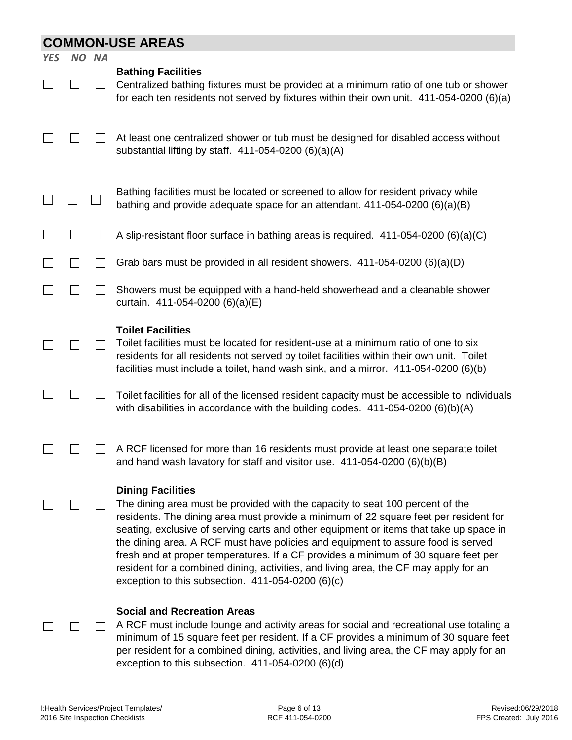|            | <b>COMMON-USE AREAS</b> |           |                                                                                                                                                                                                                                                                                                                                                                                                                                                                                                                                                                                                                      |  |  |
|------------|-------------------------|-----------|----------------------------------------------------------------------------------------------------------------------------------------------------------------------------------------------------------------------------------------------------------------------------------------------------------------------------------------------------------------------------------------------------------------------------------------------------------------------------------------------------------------------------------------------------------------------------------------------------------------------|--|--|
| <b>YES</b> | NO I                    | <b>NA</b> |                                                                                                                                                                                                                                                                                                                                                                                                                                                                                                                                                                                                                      |  |  |
|            |                         |           | <b>Bathing Facilities</b><br>Centralized bathing fixtures must be provided at a minimum ratio of one tub or shower<br>for each ten residents not served by fixtures within their own unit. 411-054-0200 (6)(a)                                                                                                                                                                                                                                                                                                                                                                                                       |  |  |
|            |                         |           | At least one centralized shower or tub must be designed for disabled access without<br>substantial lifting by staff. $411-054-0200$ (6)(a)(A)                                                                                                                                                                                                                                                                                                                                                                                                                                                                        |  |  |
|            |                         |           | Bathing facilities must be located or screened to allow for resident privacy while<br>bathing and provide adequate space for an attendant. 411-054-0200 (6)(a)(B)                                                                                                                                                                                                                                                                                                                                                                                                                                                    |  |  |
|            |                         |           | A slip-resistant floor surface in bathing areas is required. $411-054-0200$ (6)(a)(C)                                                                                                                                                                                                                                                                                                                                                                                                                                                                                                                                |  |  |
|            |                         |           | Grab bars must be provided in all resident showers. 411-054-0200 (6)(a)(D)                                                                                                                                                                                                                                                                                                                                                                                                                                                                                                                                           |  |  |
|            |                         |           | Showers must be equipped with a hand-held showerhead and a cleanable shower<br>curtain. 411-054-0200 (6)(a)(E)                                                                                                                                                                                                                                                                                                                                                                                                                                                                                                       |  |  |
|            |                         |           | <b>Toilet Facilities</b><br>Toilet facilities must be located for resident-use at a minimum ratio of one to six<br>residents for all residents not served by toilet facilities within their own unit. Toilet<br>facilities must include a toilet, hand wash sink, and a mirror. $411-054-0200$ (6)(b)                                                                                                                                                                                                                                                                                                                |  |  |
|            |                         |           | Toilet facilities for all of the licensed resident capacity must be accessible to individuals<br>with disabilities in accordance with the building codes. $411-054-0200$ (6)(b)(A)                                                                                                                                                                                                                                                                                                                                                                                                                                   |  |  |
|            |                         |           | A RCF licensed for more than 16 residents must provide at least one separate toilet<br>and hand wash lavatory for staff and visitor use. 411-054-0200 (6)(b)(B)                                                                                                                                                                                                                                                                                                                                                                                                                                                      |  |  |
|            |                         |           | <b>Dining Facilities</b><br>The dining area must be provided with the capacity to seat 100 percent of the<br>residents. The dining area must provide a minimum of 22 square feet per resident for<br>seating, exclusive of serving carts and other equipment or items that take up space in<br>the dining area. A RCF must have policies and equipment to assure food is served<br>fresh and at proper temperatures. If a CF provides a minimum of 30 square feet per<br>resident for a combined dining, activities, and living area, the CF may apply for an<br>exception to this subsection. $411-054-0200$ (6)(c) |  |  |
|            |                         |           | <b>Social and Recreation Areas</b><br>A RCF must include lounge and activity areas for social and recreational use totaling a<br>minimum of 15 square feet per resident. If a CF provides a minimum of 30 square feet<br>per resident for a combined dining, activities, and living area, the CF may apply for an<br>exception to this subsection. $411-054-0200$ (6)(d)                                                                                                                                                                                                                                             |  |  |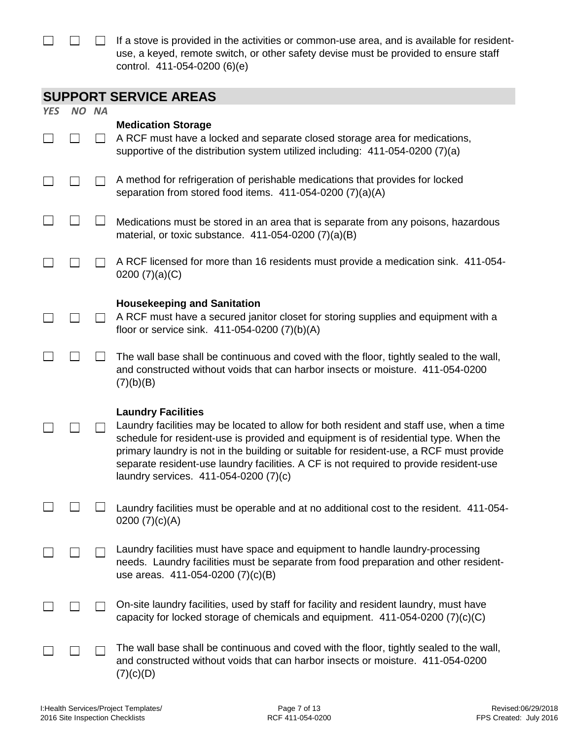$\Box$  If a stove is provided in the activities or common-use area, and is available for residentuse, a keyed, remote switch, or other safety devise must be provided to ensure staff control. 411-054-0200 (6)(e)

| <b>SUPPORT SERVICE AREAS</b> |  |
|------------------------------|--|
|------------------------------|--|

|            |       | SULLONI SEININGE MILLAS                                                                                                                                                                                                                                                                                                                                                                                                                    |
|------------|-------|--------------------------------------------------------------------------------------------------------------------------------------------------------------------------------------------------------------------------------------------------------------------------------------------------------------------------------------------------------------------------------------------------------------------------------------------|
| <b>YES</b> | NO NA |                                                                                                                                                                                                                                                                                                                                                                                                                                            |
|            |       | <b>Medication Storage</b><br>A RCF must have a locked and separate closed storage area for medications,<br>supportive of the distribution system utilized including: 411-054-0200 (7)(a)                                                                                                                                                                                                                                                   |
|            |       | A method for refrigeration of perishable medications that provides for locked<br>separation from stored food items. 411-054-0200 (7)(a)(A)                                                                                                                                                                                                                                                                                                 |
|            |       | Medications must be stored in an area that is separate from any poisons, hazardous<br>material, or toxic substance. $411-054-0200$ (7)(a)(B)                                                                                                                                                                                                                                                                                               |
|            |       | A RCF licensed for more than 16 residents must provide a medication sink. 411-054-<br>0200 $(7)(a)(C)$                                                                                                                                                                                                                                                                                                                                     |
|            |       | <b>Housekeeping and Sanitation</b><br>A RCF must have a secured janitor closet for storing supplies and equipment with a<br>floor or service sink. 411-054-0200 (7)(b)(A)                                                                                                                                                                                                                                                                  |
|            |       | The wall base shall be continuous and coved with the floor, tightly sealed to the wall,<br>and constructed without voids that can harbor insects or moisture. 411-054-0200<br>(7)(b)(B)                                                                                                                                                                                                                                                    |
|            |       | <b>Laundry Facilities</b><br>Laundry facilities may be located to allow for both resident and staff use, when a time<br>schedule for resident-use is provided and equipment is of residential type. When the<br>primary laundry is not in the building or suitable for resident-use, a RCF must provide<br>separate resident-use laundry facilities. A CF is not required to provide resident-use<br>laundry services. 411-054-0200 (7)(c) |
|            |       | Laundry facilities must be operable and at no additional cost to the resident. 411-054-<br>0200 $(7)(c)(A)$                                                                                                                                                                                                                                                                                                                                |
|            |       | Laundry facilities must have space and equipment to handle laundry-processing<br>needs. Laundry facilities must be separate from food preparation and other resident-<br>use areas. 411-054-0200 (7)(c)(B)                                                                                                                                                                                                                                 |
|            |       | On-site laundry facilities, used by staff for facility and resident laundry, must have<br>capacity for locked storage of chemicals and equipment. $411-054-0200$ (7)(c)(C)                                                                                                                                                                                                                                                                 |
|            |       | The wall base shall be continuous and coved with the floor, tightly sealed to the wall,<br>and constructed without voids that can harbor insects or moisture. 411-054-0200<br>(7)(c)(D)                                                                                                                                                                                                                                                    |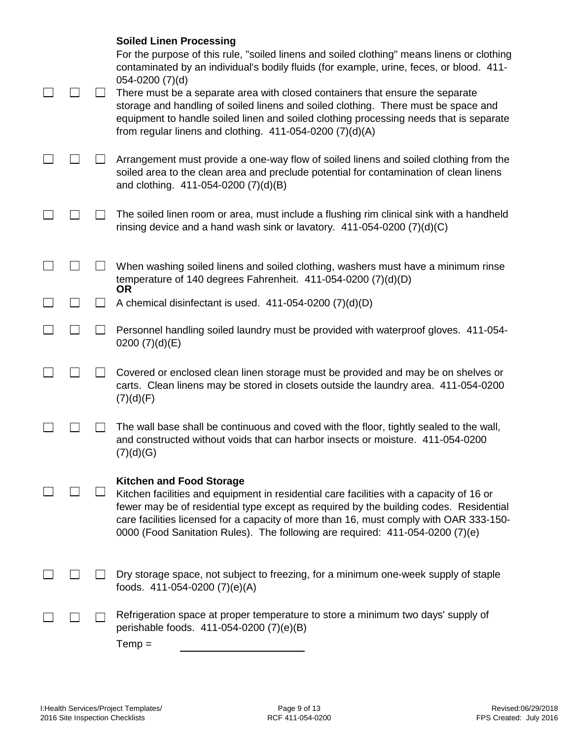|  | <b>Soiled Linen Processing</b><br>For the purpose of this rule, "soiled linens and soiled clothing" means linens or clothing<br>contaminated by an individual's bodily fluids (for example, urine, feces, or blood. 411-<br>$054 - 0200$ $(7)(d)$<br>There must be a separate area with closed containers that ensure the separate<br>storage and handling of soiled linens and soiled clothing. There must be space and<br>equipment to handle soiled linen and soiled clothing processing needs that is separate<br>from regular linens and clothing. $411-054-0200$ (7)(d)(A) |
|--|----------------------------------------------------------------------------------------------------------------------------------------------------------------------------------------------------------------------------------------------------------------------------------------------------------------------------------------------------------------------------------------------------------------------------------------------------------------------------------------------------------------------------------------------------------------------------------|
|  | Arrangement must provide a one-way flow of soiled linens and soiled clothing from the<br>soiled area to the clean area and preclude potential for contamination of clean linens<br>and clothing. 411-054-0200 (7)(d)(B)                                                                                                                                                                                                                                                                                                                                                          |
|  | The soiled linen room or area, must include a flushing rim clinical sink with a handheld<br>rinsing device and a hand wash sink or lavatory. $411-054-0200$ (7)(d)(C)                                                                                                                                                                                                                                                                                                                                                                                                            |
|  | When washing soiled linens and soiled clothing, washers must have a minimum rinse<br>temperature of 140 degrees Fahrenheit. 411-054-0200 (7)(d)(D)<br><b>OR</b>                                                                                                                                                                                                                                                                                                                                                                                                                  |
|  | A chemical disinfectant is used. 411-054-0200 (7)(d)(D)                                                                                                                                                                                                                                                                                                                                                                                                                                                                                                                          |
|  | Personnel handling soiled laundry must be provided with waterproof gloves. 411-054-<br>0200 $(7)(d)(E)$                                                                                                                                                                                                                                                                                                                                                                                                                                                                          |
|  | Covered or enclosed clean linen storage must be provided and may be on shelves or<br>carts. Clean linens may be stored in closets outside the laundry area. 411-054-0200<br>(7)(d)(F)                                                                                                                                                                                                                                                                                                                                                                                            |
|  | The wall base shall be continuous and coved with the floor, tightly sealed to the wall,<br>and constructed without voids that can harbor insects or moisture. 411-054-0200<br>(7)(d)(G)                                                                                                                                                                                                                                                                                                                                                                                          |
|  | <b>Kitchen and Food Storage</b><br>Kitchen facilities and equipment in residential care facilities with a capacity of 16 or<br>fewer may be of residential type except as required by the building codes. Residential<br>care facilities licensed for a capacity of more than 16, must comply with OAR 333-150-<br>0000 (Food Sanitation Rules). The following are required: 411-054-0200 (7)(e)                                                                                                                                                                                 |
|  | Dry storage space, not subject to freezing, for a minimum one-week supply of staple<br>foods. 411-054-0200 (7)(e)(A)                                                                                                                                                                                                                                                                                                                                                                                                                                                             |
|  | Refrigeration space at proper temperature to store a minimum two days' supply of<br>perishable foods. 411-054-0200 (7)(e)(B)<br>$Temp =$                                                                                                                                                                                                                                                                                                                                                                                                                                         |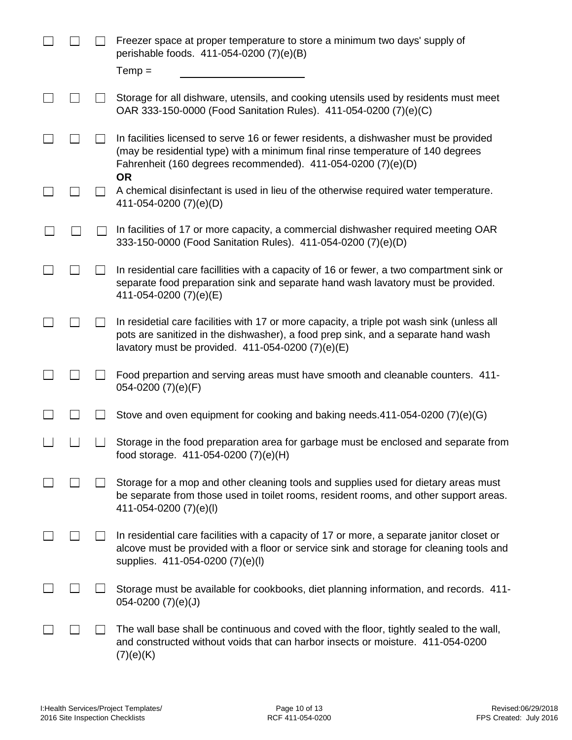|  | Freezer space at proper temperature to store a minimum two days' supply of<br>perishable foods. 411-054-0200 (7)(e)(B)                                                                                                                               |
|--|------------------------------------------------------------------------------------------------------------------------------------------------------------------------------------------------------------------------------------------------------|
|  | $Temp =$                                                                                                                                                                                                                                             |
|  | Storage for all dishware, utensils, and cooking utensils used by residents must meet<br>OAR 333-150-0000 (Food Sanitation Rules). 411-054-0200 (7)(e)(C)                                                                                             |
|  | In facilities licensed to serve 16 or fewer residents, a dishwasher must be provided<br>(may be residential type) with a minimum final rinse temperature of 140 degrees<br>Fahrenheit (160 degrees recommended). 411-054-0200 (7)(e)(D)<br><b>OR</b> |
|  | A chemical disinfectant is used in lieu of the otherwise required water temperature.<br>411-054-0200 (7)(e)(D)                                                                                                                                       |
|  | In facilities of 17 or more capacity, a commercial dishwasher required meeting OAR<br>333-150-0000 (Food Sanitation Rules). 411-054-0200 (7)(e)(D)                                                                                                   |
|  | In residential care facillities with a capacity of 16 or fewer, a two compartment sink or<br>separate food preparation sink and separate hand wash lavatory must be provided.<br>411-054-0200 (7)(e)(E)                                              |
|  | In residetial care facilities with 17 or more capacity, a triple pot wash sink (unless all<br>pots are sanitized in the dishwasher), a food prep sink, and a separate hand wash<br>lavatory must be provided. $411-054-0200$ (7)(e)(E)               |
|  | Food prepartion and serving areas must have smooth and cleanable counters. 411-<br>054-0200 (7)(e)(F)                                                                                                                                                |
|  | Stove and oven equipment for cooking and baking needs.411-054-0200 (7)(e)(G)                                                                                                                                                                         |
|  | Storage in the food preparation area for garbage must be enclosed and separate from<br>food storage. 411-054-0200 (7)(e)(H)                                                                                                                          |
|  | Storage for a mop and other cleaning tools and supplies used for dietary areas must<br>be separate from those used in toilet rooms, resident rooms, and other support areas.<br>411-054-0200 (7)(e)(l)                                               |
|  | In residential care facilities with a capacity of 17 or more, a separate janitor closet or<br>alcove must be provided with a floor or service sink and storage for cleaning tools and<br>supplies. 411-054-0200 (7)(e)(l)                            |
|  | Storage must be available for cookbooks, diet planning information, and records. 411-<br>$054 - 0200$ $(7)(e)(J)$                                                                                                                                    |
|  | The wall base shall be continuous and coved with the floor, tightly sealed to the wall,<br>and constructed without voids that can harbor insects or moisture. 411-054-0200<br>(7)(e)(K)                                                              |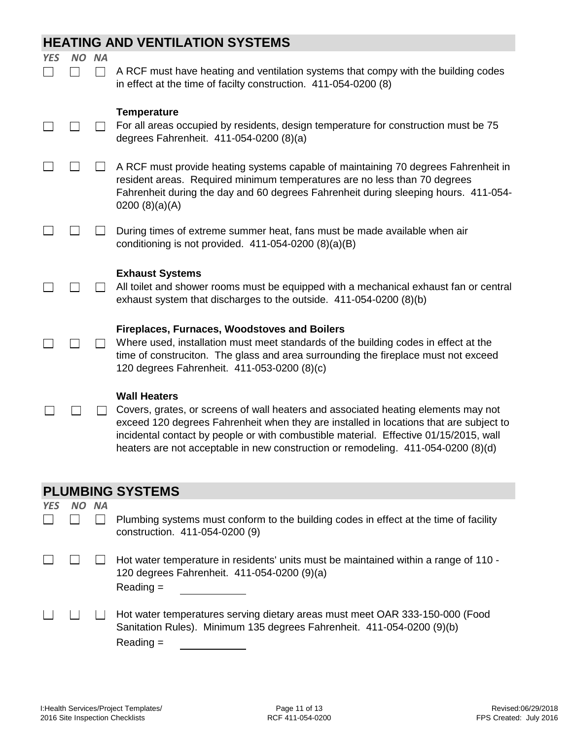## **HEATING AND VENTILATION SYSTEMS**

| <b>YES</b> | NO.       | <b>NA</b>       |                                                                                                                                                                                                                                                                                                                                                                                   |
|------------|-----------|-----------------|-----------------------------------------------------------------------------------------------------------------------------------------------------------------------------------------------------------------------------------------------------------------------------------------------------------------------------------------------------------------------------------|
|            |           |                 | A RCF must have heating and ventilation systems that compy with the building codes<br>in effect at the time of facilty construction. 411-054-0200 (8)                                                                                                                                                                                                                             |
|            |           |                 | <b>Temperature</b><br>For all areas occupied by residents, design temperature for construction must be 75<br>degrees Fahrenheit. 411-054-0200 (8)(a)                                                                                                                                                                                                                              |
|            |           |                 | A RCF must provide heating systems capable of maintaining 70 degrees Fahrenheit in<br>resident areas. Required minimum temperatures are no less than 70 degrees<br>Fahrenheit during the day and 60 degrees Fahrenheit during sleeping hours. 411-054-<br>0200 $(8)(a)(A)$                                                                                                        |
|            |           |                 | During times of extreme summer heat, fans must be made available when air<br>conditioning is not provided. $411-054-0200$ (8)(a)(B)                                                                                                                                                                                                                                               |
|            |           |                 | <b>Exhaust Systems</b><br>All toilet and shower rooms must be equipped with a mechanical exhaust fan or central<br>exhaust system that discharges to the outside. 411-054-0200 (8)(b)                                                                                                                                                                                             |
|            |           |                 | <b>Fireplaces, Furnaces, Woodstoves and Boilers</b><br>Where used, installation must meet standards of the building codes in effect at the<br>time of construciton. The glass and area surrounding the fireplace must not exceed<br>120 degrees Fahrenheit. 411-053-0200 (8)(c)                                                                                                   |
|            |           |                 | <b>Wall Heaters</b><br>Covers, grates, or screens of wall heaters and associated heating elements may not<br>exceed 120 degrees Fahrenheit when they are installed in locations that are subject to<br>incidental contact by people or with combustible material. Effective 01/15/2015, wall<br>heaters are not acceptable in new construction or remodeling. 411-054-0200 (8)(d) |
|            |           |                 | <b>PLUMBING SYSTEMS</b>                                                                                                                                                                                                                                                                                                                                                           |
| <b>YES</b> | <b>NO</b> | <b>NA</b>       |                                                                                                                                                                                                                                                                                                                                                                                   |
|            |           | $\vert$ $\vert$ | Plumbing systems must conform to the building codes in effect at the time of facility<br>construction. 411-054-0200 (9)                                                                                                                                                                                                                                                           |

- $\Box$  $\Box$ Hot water temperature in residents' units must be maintained within a range of 110 - 120 degrees Fahrenheit. 411-054-0200 (9)(a) Reading =
- Hot water temperatures serving dietary areas must meet OAR 333-150-000 (Food  $\Box$  $\Box$  $\Box$ Sanitation Rules). Minimum 135 degrees Fahrenheit. 411-054-0200 (9)(b) Reading =

П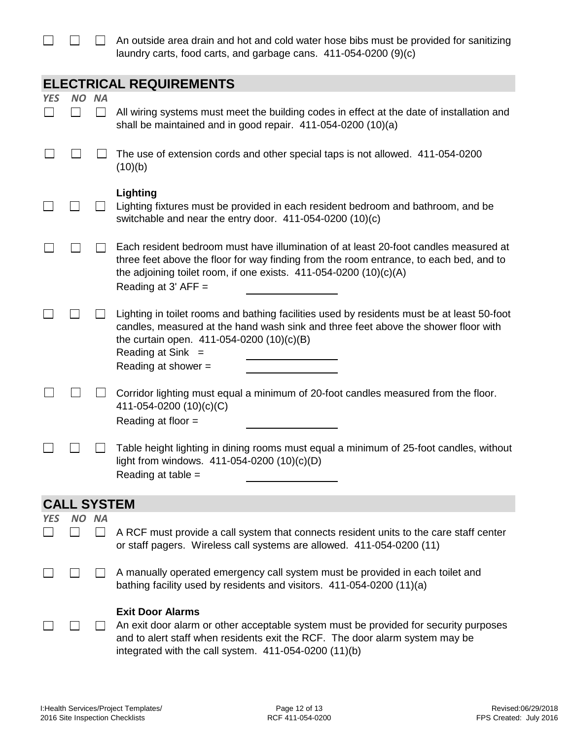$\Box$  An outside area drain and hot and cold water hose bibs must be provided for sanitizing laundry carts, food carts, and garbage cans. 411-054-0200 (9)(c)

|            | <b>ELECTRICAL REQUIREMENTS</b> |                   |                                                                                                                                                                                                                                                                               |  |  |  |  |  |
|------------|--------------------------------|-------------------|-------------------------------------------------------------------------------------------------------------------------------------------------------------------------------------------------------------------------------------------------------------------------------|--|--|--|--|--|
| <b>YES</b> | NO.                            | <b>NA</b>         |                                                                                                                                                                                                                                                                               |  |  |  |  |  |
|            |                                |                   | All wiring systems must meet the building codes in effect at the date of installation and<br>shall be maintained and in good repair. 411-054-0200 (10)(a)                                                                                                                     |  |  |  |  |  |
|            |                                |                   | The use of extension cords and other special taps is not allowed. 411-054-0200<br>(10)(b)                                                                                                                                                                                     |  |  |  |  |  |
|            |                                |                   | Lighting<br>Lighting fixtures must be provided in each resident bedroom and bathroom, and be<br>switchable and near the entry door. $411-054-0200(10)(c)$                                                                                                                     |  |  |  |  |  |
|            |                                |                   | Each resident bedroom must have illumination of at least 20-foot candles measured at<br>three feet above the floor for way finding from the room entrance, to each bed, and to<br>the adjoining toilet room, if one exists. $411-054-0200(10)(c)(A)$<br>Reading at $3'$ AFF = |  |  |  |  |  |
|            |                                |                   | Lighting in toilet rooms and bathing facilities used by residents must be at least 50-foot<br>candles, measured at the hand wash sink and three feet above the shower floor with<br>the curtain open. 411-054-0200 (10)(c)(B)<br>Reading at Sink $=$<br>Reading at shower =   |  |  |  |  |  |
|            |                                |                   | Corridor lighting must equal a minimum of 20-foot candles measured from the floor.<br>411-054-0200 (10)(c)(C)<br>Reading at floor =                                                                                                                                           |  |  |  |  |  |
|            |                                |                   | Table height lighting in dining rooms must equal a minimum of 25-foot candles, without<br>light from windows. 411-054-0200 (10)(c)(D)<br>Reading at table =                                                                                                                   |  |  |  |  |  |
|            | <b>CALL SYSTEM</b>             |                   |                                                                                                                                                                                                                                                                               |  |  |  |  |  |
| YES        | NO.                            | <b>NA</b>         |                                                                                                                                                                                                                                                                               |  |  |  |  |  |
|            |                                | $\vert \ \ \vert$ | A RCF must provide a call system that connects resident units to the care staff center<br>or staff pagers. Wireless call systems are allowed. 411-054-0200 (11)                                                                                                               |  |  |  |  |  |
|            |                                |                   | A manually operated emergency call system must be provided in each toilet and<br>bathing facility used by residents and visitors. 411-054-0200 (11)(a)                                                                                                                        |  |  |  |  |  |
|            |                                |                   | <b>Exit Door Alarms</b><br>An exit door alarm or other acceptable system must be provided for security purposes<br>and to alert staff when residents exit the RCF. The door alarm system may be<br>integrated with the call system. 411-054-0200 (11)(b)                      |  |  |  |  |  |

 $\Box$